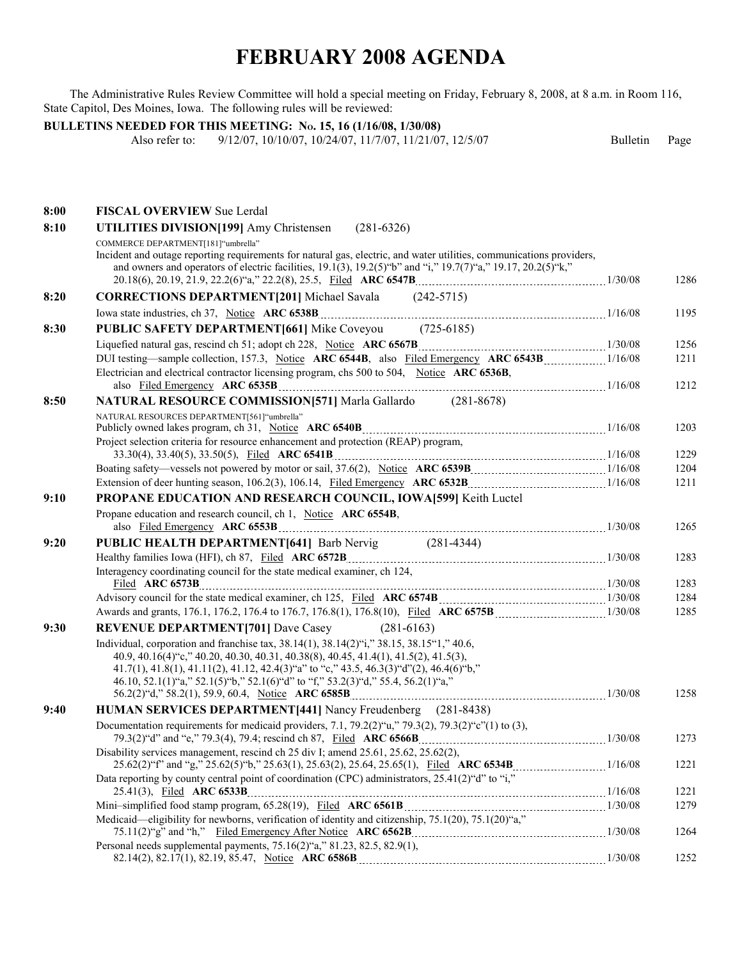## **FEBRUARY 2008 AGENDA**

The Administrative Rules Review Committee will hold a special meeting on Friday, February 8, 2008, at 8 a.m. in Room 116, State Capitol, Des Moines, Iowa. The following rules will be reviewed:

## **BULLETINS NEEDED FOR THIS MEETING: No. 15, 16 (1/16/08, 1/30/08)**

Also refer to: 9/12/07, 10/10/07, 10/24/07, 11/7/07, 11/21/07, 12/5/07 Bulletin Page

| 8:00 | <b>FISCAL OVERVIEW Sue Lerdal</b>                                                                                                                                                                                                                                                                                                                             |         |              |
|------|---------------------------------------------------------------------------------------------------------------------------------------------------------------------------------------------------------------------------------------------------------------------------------------------------------------------------------------------------------------|---------|--------------|
| 8:10 | UTILITIES DIVISION[199] Amy Christensen<br>$(281-6326)$                                                                                                                                                                                                                                                                                                       |         |              |
|      | COMMERCE DEPARTMENT[181]"umbrella"<br>Incident and outage reporting requirements for natural gas, electric, and water utilities, communications providers,<br>and owners and operators of electric facilities, $19.1(3)$ , $19.2(5)$ "b" and "i," $19.7(7)$ "a," $19.17$ , $20.2(5)$ "k,"                                                                     |         | 1286         |
| 8:20 | <b>CORRECTIONS DEPARTMENT</b> [201] Michael Savala (242-5715)                                                                                                                                                                                                                                                                                                 |         |              |
|      |                                                                                                                                                                                                                                                                                                                                                               |         | 1195         |
| 8:30 | <b>PUBLIC SAFETY DEPARTMENT[661]</b> Mike Coveyou (725-6185)                                                                                                                                                                                                                                                                                                  |         |              |
|      |                                                                                                                                                                                                                                                                                                                                                               |         | 1256         |
|      |                                                                                                                                                                                                                                                                                                                                                               |         | 1211         |
|      | Electrician and electrical contractor licensing program, chs 500 to 504, Notice ARC 6536B,                                                                                                                                                                                                                                                                    |         | 1212         |
| 8:50 | <b>NATURAL RESOURCE COMMISSION [571]</b> Marla Gallardo (281-8678)                                                                                                                                                                                                                                                                                            |         |              |
|      | NATURAL RESOURCES DEPARTMENT[561]"umbrella"                                                                                                                                                                                                                                                                                                                   |         |              |
|      | Project selection criteria for resource enhancement and protection (REAP) program,                                                                                                                                                                                                                                                                            |         | 1203         |
|      |                                                                                                                                                                                                                                                                                                                                                               |         | 1229         |
|      |                                                                                                                                                                                                                                                                                                                                                               |         | 1204         |
|      |                                                                                                                                                                                                                                                                                                                                                               |         | 1211         |
| 9:10 | PROPANE EDUCATION AND RESEARCH COUNCIL, IOWA[599] Keith Luctel                                                                                                                                                                                                                                                                                                |         |              |
|      | Propane education and research council, ch 1, Notice ARC 6554B,                                                                                                                                                                                                                                                                                               |         | 1265         |
| 9:20 | PUBLIC HEALTH DEPARTMENT[641] Barb Nervig (281-4344)                                                                                                                                                                                                                                                                                                          |         |              |
|      |                                                                                                                                                                                                                                                                                                                                                               |         | 1283         |
|      | Interagency coordinating council for the state medical examiner, ch 124,                                                                                                                                                                                                                                                                                      |         | 1283         |
|      |                                                                                                                                                                                                                                                                                                                                                               |         | 1284         |
|      |                                                                                                                                                                                                                                                                                                                                                               |         | 1285         |
| 9:30 | <b>REVENUE DEPARTMENT[701]</b> Dave Casey (281-6163)                                                                                                                                                                                                                                                                                                          |         |              |
|      | Individual, corporation and franchise tax, 38.14(1), 38.14(2)"i," 38.15, 38.15"1," 40.6,<br>40.9, 40.16(4) "c," 40.20, 40.30, 40.31, 40.38(8), 40.45, 41.4(1), 41.5(2), 41.5(3),<br>41.7(1), 41.8(1), 41.11(2), 41.12, 42.4(3)"a" to "c," 43.5, 46.3(3)"d"(2), 46.4(6)"b,"<br>46.10, 52.1(1)"a," 52.1(5)"b," 52.1(6)"d" to "f," 53.2(3)"d," 55.4, 56.2(1)"a," |         | 1258         |
| 9:40 | <b>HUMAN SERVICES DEPARTMENT</b> [441] Nancy Freudenberg (281-8438)                                                                                                                                                                                                                                                                                           |         |              |
|      | Documentation requirements for medical providers, 7.1, 79.2(2)" $\mu$ ," 79.3(2), 79.3(2)" $c$ "(1) to (3),<br>79.3(2) "d" and "e," 79.3(4), 79.4; rescind ch 87, Filed ARC 6566B                                                                                                                                                                             | 1/30/08 | 1273         |
|      | Disability services management, rescind ch 25 div I; amend 25.61, 25.62, 25.62(2),                                                                                                                                                                                                                                                                            |         | 1221         |
|      | Data reporting by county central point of coordination (CPC) administrators, 25.41(2) "d" to "i,"                                                                                                                                                                                                                                                             |         |              |
|      |                                                                                                                                                                                                                                                                                                                                                               |         | 1221<br>1279 |
|      | Medicaid—eligibility for newborns, verification of identity and citizenship, 75.1(20), 75.1(20) "a,"                                                                                                                                                                                                                                                          |         |              |
|      |                                                                                                                                                                                                                                                                                                                                                               |         | 1264         |
|      | Personal needs supplemental payments, 75.16(2)"a," 81.23, 82.5, 82.9(1),                                                                                                                                                                                                                                                                                      |         |              |
|      |                                                                                                                                                                                                                                                                                                                                                               |         | 1252         |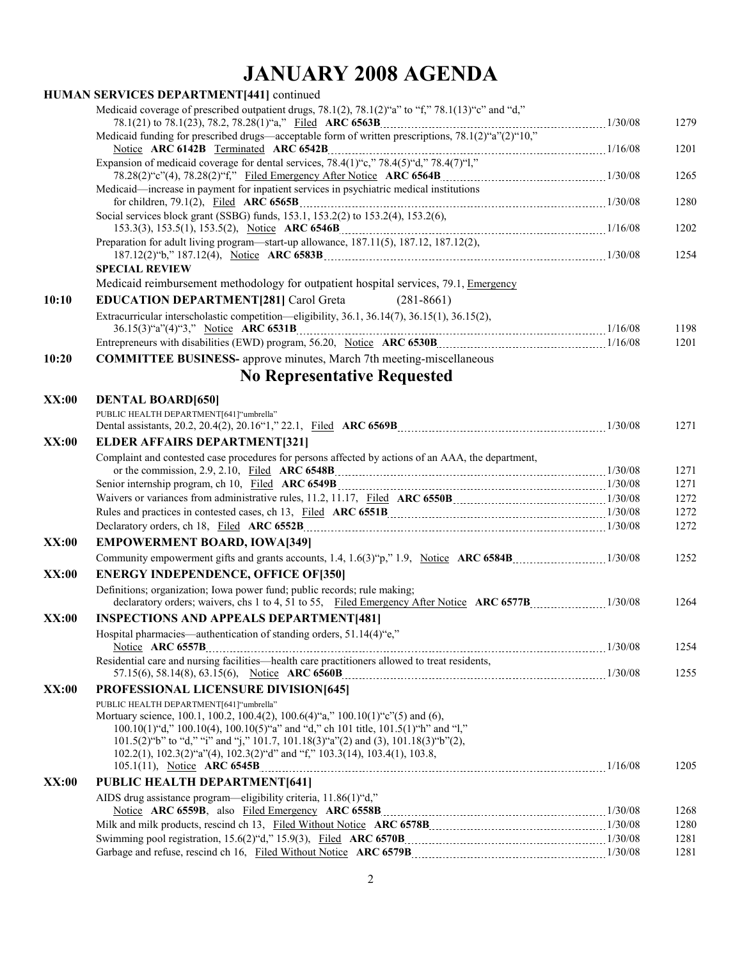## **JANUARY 2008 AGENDA**

|              | HUMAN SERVICES DEPARTMENT[441] continued                                                                                                                                                                                                                                                                                                                                                        |      |
|--------------|-------------------------------------------------------------------------------------------------------------------------------------------------------------------------------------------------------------------------------------------------------------------------------------------------------------------------------------------------------------------------------------------------|------|
|              | Medicaid coverage of prescribed outpatient drugs, 78.1(2), 78.1(2)"a" to "f," 78.1(13)"c" and "d,"                                                                                                                                                                                                                                                                                              | 1279 |
|              | Notice ARC 6142B Terminated ARC 6542B 2011 116/08 Expansion of medicaid coverage for dental services, 78.4(1)"c," 78.4(5)"d," 78.4(7)"l,"                                                                                                                                                                                                                                                       | 1201 |
|              |                                                                                                                                                                                                                                                                                                                                                                                                 | 1265 |
|              | Medicaid—increase in payment for inpatient services in psychiatric medical institutions                                                                                                                                                                                                                                                                                                         | 1280 |
|              | Social services block grant (SSBG) funds, 153.1, 153.2(2) to 153.2(4), 153.2(6),                                                                                                                                                                                                                                                                                                                | 1202 |
|              | Preparation for adult living program—start-up allowance, 187.11(5), 187.12, 187.12(2),                                                                                                                                                                                                                                                                                                          | 1254 |
|              | <b>SPECIAL REVIEW</b>                                                                                                                                                                                                                                                                                                                                                                           |      |
|              | Medicaid reimbursement methodology for outpatient hospital services, 79.1, Emergency                                                                                                                                                                                                                                                                                                            |      |
| 10:10        | <b>EDUCATION DEPARTMENT[281] Carol Greta</b><br>$(281-8661)$                                                                                                                                                                                                                                                                                                                                    |      |
|              | Extracurricular interscholastic competition—eligibility, 36.1, 36.14(7), 36.15(1), 36.15(2),                                                                                                                                                                                                                                                                                                    | 1198 |
|              | Entrepreneurs with disabilities (EWD) program, 56.20, Notice ARC 6530B [11] [2000] [2000] [2000] [2000] [2000                                                                                                                                                                                                                                                                                   | 1201 |
| 10:20        | <b>COMMITTEE BUSINESS-</b> approve minutes, March 7th meeting-miscellaneous                                                                                                                                                                                                                                                                                                                     |      |
|              | <b>No Representative Requested</b>                                                                                                                                                                                                                                                                                                                                                              |      |
| XX:00        | <b>DENTAL BOARD[650]</b>                                                                                                                                                                                                                                                                                                                                                                        |      |
|              | PUBLIC HEALTH DEPARTMENT[641]"umbrella"                                                                                                                                                                                                                                                                                                                                                         | 1271 |
| <b>XX:00</b> | <b>ELDER AFFAIRS DEPARTMENT[321]</b>                                                                                                                                                                                                                                                                                                                                                            |      |
|              | Complaint and contested case procedures for persons affected by actions of an AAA, the department,                                                                                                                                                                                                                                                                                              | 1271 |
|              |                                                                                                                                                                                                                                                                                                                                                                                                 | 1271 |
|              |                                                                                                                                                                                                                                                                                                                                                                                                 | 1272 |
|              | Rules and practices in contested cases, ch 13, Filed ARC 6551B [2010] [2010] [2010] [20108] [20108] [20108] [20108] [20108] [20108] [20108] [20108] [20108] [20108] [20108] [20108] [20108] [20108] [20108] [20108] [20108] [2                                                                                                                                                                  | 1272 |
|              |                                                                                                                                                                                                                                                                                                                                                                                                 | 1272 |
| XX:00        | <b>EMPOWERMENT BOARD, IOWA[349]</b>                                                                                                                                                                                                                                                                                                                                                             |      |
|              |                                                                                                                                                                                                                                                                                                                                                                                                 | 1252 |
| XX:00        | <b>ENERGY INDEPENDENCE, OFFICE OF [350]</b>                                                                                                                                                                                                                                                                                                                                                     |      |
|              | Definitions; organization; Iowa power fund; public records; rule making;                                                                                                                                                                                                                                                                                                                        |      |
|              |                                                                                                                                                                                                                                                                                                                                                                                                 | 1264 |
| XX:00        | <b>INSPECTIONS AND APPEALS DEPARTMENT[481]</b>                                                                                                                                                                                                                                                                                                                                                  |      |
|              | Hospital pharmacies—authentication of standing orders, 51.14(4)"e,"                                                                                                                                                                                                                                                                                                                             | 1254 |
|              | Residential care and nursing facilities—health care practitioners allowed to treat residents,                                                                                                                                                                                                                                                                                                   | 1255 |
| XX:00        | PROFESSIONAL LICENSURE DIVISION[645]                                                                                                                                                                                                                                                                                                                                                            |      |
|              | PUBLIC HEALTH DEPARTMENT[641] "umbrella"<br>Mortuary science, 100.1, 100.2, 100.4(2), 100.6(4)"a," 100.10(1)"c"(5) and (6),<br>100.10(1)"d," 100.10(4), 100.10(5)"a" and "d," ch 101 title, 101.5(1)"h" and "l,"<br>$101.5(2)$ "b" to "d," "i" and "j," $101.7$ , $101.18(3)$ "a"(2) and (3), $101.18(3)$ "b"(2),<br>102.2(1), 102.3(2)"a"(4), 102.3(2)"d" and "f," 103.3(14), 103.4(1), 103.8, | 1205 |
|              |                                                                                                                                                                                                                                                                                                                                                                                                 |      |
| <b>XX:00</b> | <b>PUBLIC HEALTH DEPARTMENT[641]</b><br>AIDS drug assistance program—eligibility criteria, 11.86(1)"d,"                                                                                                                                                                                                                                                                                         |      |
|              |                                                                                                                                                                                                                                                                                                                                                                                                 | 1268 |
|              |                                                                                                                                                                                                                                                                                                                                                                                                 | 1280 |
|              |                                                                                                                                                                                                                                                                                                                                                                                                 | 1281 |
|              |                                                                                                                                                                                                                                                                                                                                                                                                 | 1281 |
|              |                                                                                                                                                                                                                                                                                                                                                                                                 |      |